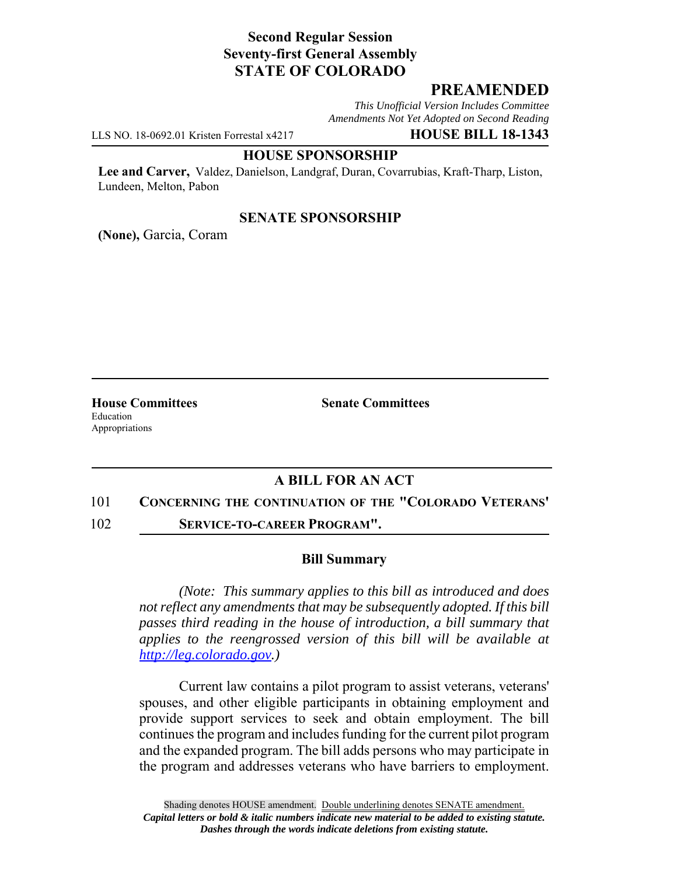# **Second Regular Session Seventy-first General Assembly STATE OF COLORADO**

## **PREAMENDED**

*This Unofficial Version Includes Committee Amendments Not Yet Adopted on Second Reading*

LLS NO. 18-0692.01 Kristen Forrestal x4217 **HOUSE BILL 18-1343**

#### **HOUSE SPONSORSHIP**

**Lee and Carver,** Valdez, Danielson, Landgraf, Duran, Covarrubias, Kraft-Tharp, Liston, Lundeen, Melton, Pabon

## **SENATE SPONSORSHIP**

**(None),** Garcia, Coram

Education Appropriations

**House Committees Senate Committees** 

## **A BILL FOR AN ACT**

### 101 **CONCERNING THE CONTINUATION OF THE "COLORADO VETERANS'**

102 **SERVICE-TO-CAREER PROGRAM".**

### **Bill Summary**

*(Note: This summary applies to this bill as introduced and does not reflect any amendments that may be subsequently adopted. If this bill passes third reading in the house of introduction, a bill summary that applies to the reengrossed version of this bill will be available at http://leg.colorado.gov.)*

Current law contains a pilot program to assist veterans, veterans' spouses, and other eligible participants in obtaining employment and provide support services to seek and obtain employment. The bill continues the program and includes funding for the current pilot program and the expanded program. The bill adds persons who may participate in the program and addresses veterans who have barriers to employment.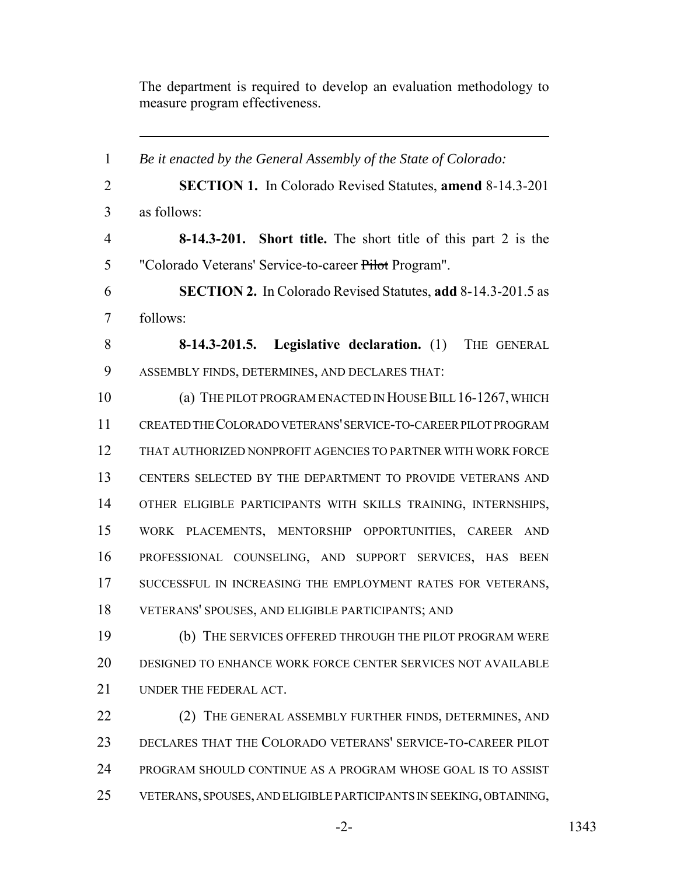The department is required to develop an evaluation methodology to measure program effectiveness.

 *Be it enacted by the General Assembly of the State of Colorado:* **SECTION 1.** In Colorado Revised Statutes, **amend** 8-14.3-201 as follows: **8-14.3-201. Short title.** The short title of this part 2 is the "Colorado Veterans' Service-to-career Pilot Program". **SECTION 2.** In Colorado Revised Statutes, **add** 8-14.3-201.5 as follows: **8-14.3-201.5. Legislative declaration.** (1) THE GENERAL ASSEMBLY FINDS, DETERMINES, AND DECLARES THAT: (a) THE PILOT PROGRAM ENACTED IN HOUSE BILL 16-1267, WHICH CREATED THE COLORADO VETERANS' SERVICE-TO-CAREER PILOT PROGRAM THAT AUTHORIZED NONPROFIT AGENCIES TO PARTNER WITH WORK FORCE CENTERS SELECTED BY THE DEPARTMENT TO PROVIDE VETERANS AND OTHER ELIGIBLE PARTICIPANTS WITH SKILLS TRAINING, INTERNSHIPS, WORK PLACEMENTS, MENTORSHIP OPPORTUNITIES, CAREER AND PROFESSIONAL COUNSELING, AND SUPPORT SERVICES, HAS BEEN 17 SUCCESSFUL IN INCREASING THE EMPLOYMENT RATES FOR VETERANS, VETERANS' SPOUSES, AND ELIGIBLE PARTICIPANTS; AND (b) THE SERVICES OFFERED THROUGH THE PILOT PROGRAM WERE DESIGNED TO ENHANCE WORK FORCE CENTER SERVICES NOT AVAILABLE UNDER THE FEDERAL ACT. 22 (2) THE GENERAL ASSEMBLY FURTHER FINDS, DETERMINES, AND DECLARES THAT THE COLORADO VETERANS' SERVICE-TO-CAREER PILOT PROGRAM SHOULD CONTINUE AS A PROGRAM WHOSE GOAL IS TO ASSIST VETERANS, SPOUSES, AND ELIGIBLE PARTICIPANTS IN SEEKING, OBTAINING,

-2- 1343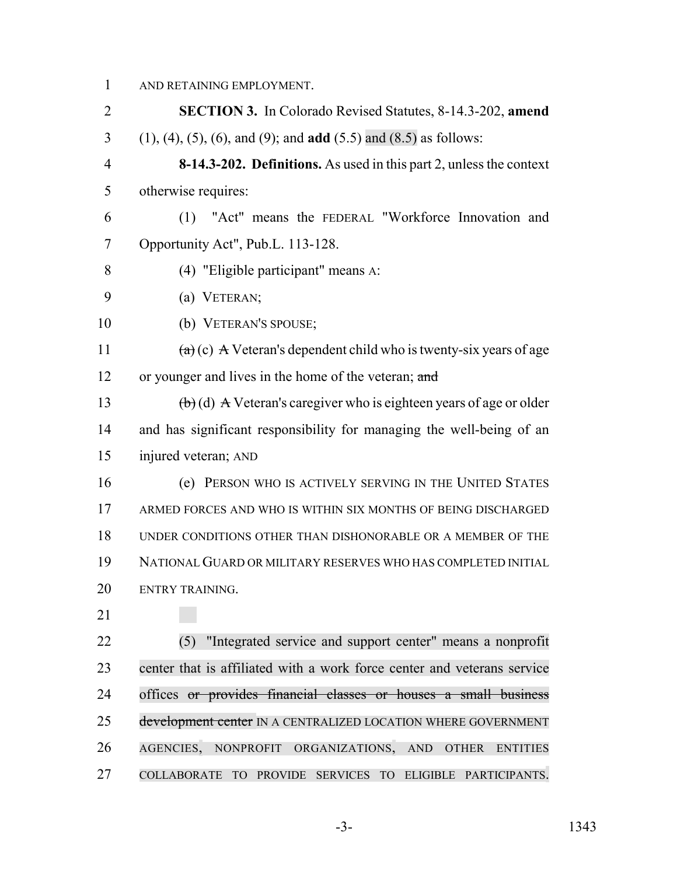AND RETAINING EMPLOYMENT. **SECTION 3.** In Colorado Revised Statutes, 8-14.3-202, **amend** (1), (4), (5), (6), and (9); and **add** (5.5) and (8.5) as follows: **8-14.3-202. Definitions.** As used in this part 2, unless the context otherwise requires: (1) "Act" means the FEDERAL "Workforce Innovation and Opportunity Act", Pub.L. 113-128. (4) "Eligible participant" means A: (a) VETERAN; (b) VETERAN'S SPOUSE;  $(a)(c)$  A Veteran's dependent child who is twenty-six years of age 12 or younger and lives in the home of the veteran; and 13 (b) (d) A Veteran's caregiver who is eighteen years of age or older and has significant responsibility for managing the well-being of an injured veteran; AND (e) PERSON WHO IS ACTIVELY SERVING IN THE UNITED STATES ARMED FORCES AND WHO IS WITHIN SIX MONTHS OF BEING DISCHARGED UNDER CONDITIONS OTHER THAN DISHONORABLE OR A MEMBER OF THE NATIONAL GUARD OR MILITARY RESERVES WHO HAS COMPLETED INITIAL ENTRY TRAINING. (5) "Integrated service and support center" means a nonprofit center that is affiliated with a work force center and veterans service offices or provides financial classes or houses a small business 25 development center IN A CENTRALIZED LOCATION WHERE GOVERNMENT AGENCIES, NONPROFIT ORGANIZATIONS, AND OTHER ENTITIES

COLLABORATE TO PROVIDE SERVICES TO ELIGIBLE PARTICIPANTS.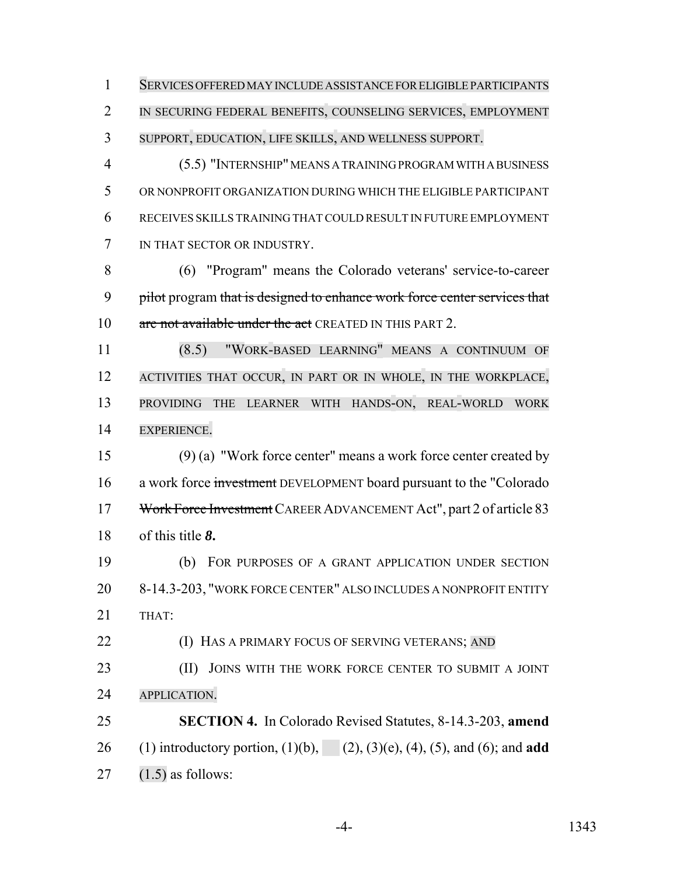SERVICES OFFERED MAY INCLUDE ASSISTANCE FOR ELIGIBLE PARTICIPANTS IN SECURING FEDERAL BENEFITS, COUNSELING SERVICES, EMPLOYMENT SUPPORT, EDUCATION, LIFE SKILLS, AND WELLNESS SUPPORT.

 (5.5) "INTERNSHIP" MEANS A TRAINING PROGRAM WITH A BUSINESS OR NONPROFIT ORGANIZATION DURING WHICH THE ELIGIBLE PARTICIPANT RECEIVES SKILLS TRAINING THAT COULD RESULT IN FUTURE EMPLOYMENT IN THAT SECTOR OR INDUSTRY.

 (6) "Program" means the Colorado veterans' service-to-career 9 pilot program that is designed to enhance work force center services that 10 are not available under the act CREATED IN THIS PART 2.

 (8.5) "WORK-BASED LEARNING" MEANS A CONTINUUM OF ACTIVITIES THAT OCCUR, IN PART OR IN WHOLE, IN THE WORKPLACE, PROVIDING THE LEARNER WITH HANDS-ON, REAL-WORLD WORK EXPERIENCE.

 (9) (a) "Work force center" means a work force center created by a work force investment DEVELOPMENT board pursuant to the "Colorado Work Force Investment CAREER ADVANCEMENT Act", part 2 of article 83 of this title *8***.**

 (b) FOR PURPOSES OF A GRANT APPLICATION UNDER SECTION 8-14.3-203, "WORK FORCE CENTER" ALSO INCLUDES A NONPROFIT ENTITY THAT:

**(I) HAS A PRIMARY FOCUS OF SERVING VETERANS;** AND

23 (II) JOINS WITH THE WORK FORCE CENTER TO SUBMIT A JOINT APPLICATION.

 **SECTION 4.** In Colorado Revised Statutes, 8-14.3-203, **amend** (1) introductory portion, (1)(b), (2), (3)(e), (4), (5), and (6); and **add** 27  $(1.5)$  as follows: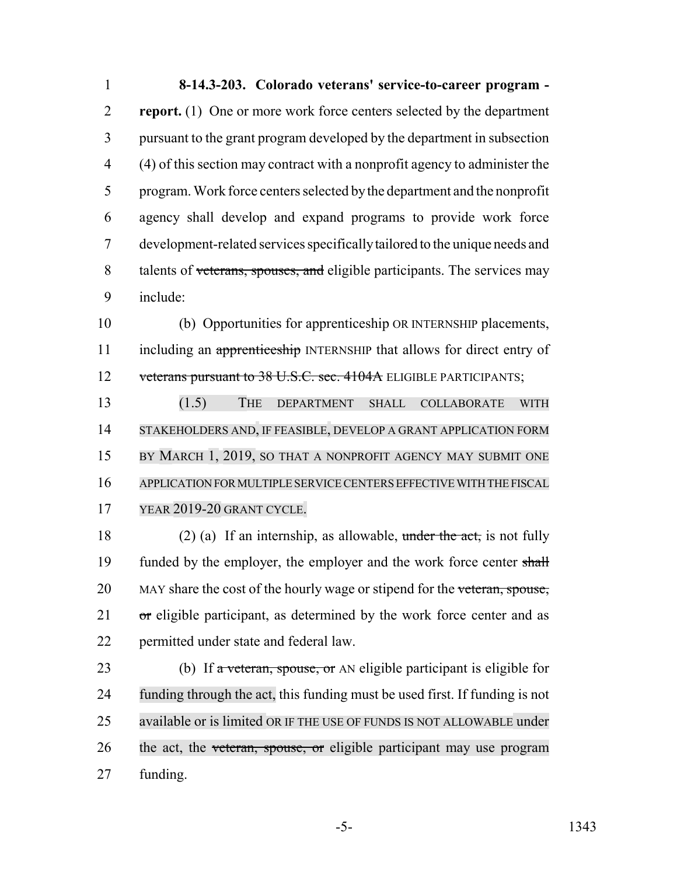**8-14.3-203. Colorado veterans' service-to-career program - report.** (1) One or more work force centers selected by the department pursuant to the grant program developed by the department in subsection (4) of this section may contract with a nonprofit agency to administer the program. Work force centers selected by the department and the nonprofit agency shall develop and expand programs to provide work force development-related services specifically tailored to the unique needs and 8 talents of veterans, spouses, and eligible participants. The services may include:

 (b) Opportunities for apprenticeship OR INTERNSHIP placements, 11 including an apprenticeship INTERNSHIP that allows for direct entry of 12 veterans pursuant to 38 U.S.C. sec. 4104A ELIGIBLE PARTICIPANTS;

 (1.5) THE DEPARTMENT SHALL COLLABORATE WITH STAKEHOLDERS AND, IF FEASIBLE, DEVELOP A GRANT APPLICATION FORM 15 BY MARCH 1, 2019, SO THAT A NONPROFIT AGENCY MAY SUBMIT ONE APPLICATION FOR MULTIPLE SERVICE CENTERS EFFECTIVE WITH THE FISCAL YEAR 2019-20 GRANT CYCLE.

18 (2) (a) If an internship, as allowable, under the act, is not fully 19 funded by the employer, the employer and the work force center shall 20 MAY share the cost of the hourly wage or stipend for the veteran, spouse, or eligible participant, as determined by the work force center and as permitted under state and federal law.

23 (b) If  $\alpha$  veteran, spouse, or AN eligible participant is eligible for funding through the act, this funding must be used first. If funding is not available or is limited OR IF THE USE OF FUNDS IS NOT ALLOWABLE under 26 the act, the veteran, spouse, or eligible participant may use program funding.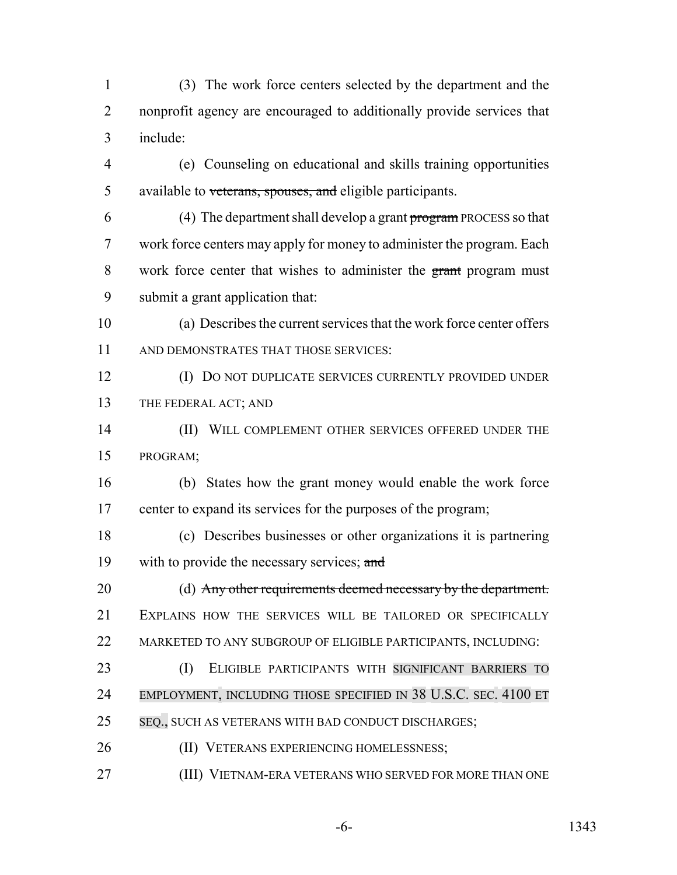(3) The work force centers selected by the department and the nonprofit agency are encouraged to additionally provide services that include:

- (e) Counseling on educational and skills training opportunities 5 available to veterans, spouses, and eligible participants.
- 6 (4) The department shall develop a grant program PROCESS so that work force centers may apply for money to administer the program. Each work force center that wishes to administer the grant program must submit a grant application that:
- (a) Describes the current services that the work force center offers AND DEMONSTRATES THAT THOSE SERVICES:
- (I) DO NOT DUPLICATE SERVICES CURRENTLY PROVIDED UNDER THE FEDERAL ACT; AND
- 14 (II) WILL COMPLEMENT OTHER SERVICES OFFERED UNDER THE PROGRAM;
- (b) States how the grant money would enable the work force center to expand its services for the purposes of the program;
- (c) Describes businesses or other organizations it is partnering 19 with to provide the necessary services; and
- (d) Any other requirements deemed necessary by the department. EXPLAINS HOW THE SERVICES WILL BE TAILORED OR SPECIFICALLY MARKETED TO ANY SUBGROUP OF ELIGIBLE PARTICIPANTS, INCLUDING:
- (I) ELIGIBLE PARTICIPANTS WITH SIGNIFICANT BARRIERS TO EMPLOYMENT, INCLUDING THOSE SPECIFIED IN 38 U.S.C. SEC. 4100 ET SEQ., SUCH AS VETERANS WITH BAD CONDUCT DISCHARGES;
- **(II) VETERANS EXPERIENCING HOMELESSNESS;**
- (III) VIETNAM-ERA VETERANS WHO SERVED FOR MORE THAN ONE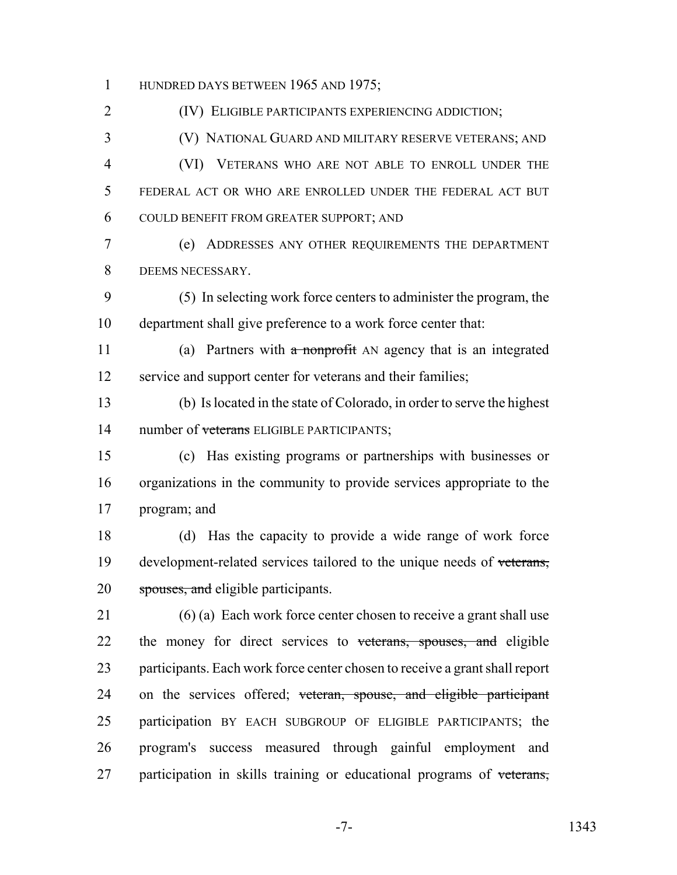1 HUNDRED DAYS BETWEEN 1965 AND 1975;

(IV) ELIGIBLE PARTICIPANTS EXPERIENCING ADDICTION;

 (V) NATIONAL GUARD AND MILITARY RESERVE VETERANS; AND (VI) VETERANS WHO ARE NOT ABLE TO ENROLL UNDER THE

 FEDERAL ACT OR WHO ARE ENROLLED UNDER THE FEDERAL ACT BUT COULD BENEFIT FROM GREATER SUPPORT; AND

 (e) ADDRESSES ANY OTHER REQUIREMENTS THE DEPARTMENT DEEMS NECESSARY.

 (5) In selecting work force centers to administer the program, the department shall give preference to a work force center that:

11 (a) Partners with a nonprofit AN agency that is an integrated 12 service and support center for veterans and their families;

 (b) Is located in the state of Colorado, in order to serve the highest 14 number of veterans ELIGIBLE PARTICIPANTS;

 (c) Has existing programs or partnerships with businesses or organizations in the community to provide services appropriate to the program; and

 (d) Has the capacity to provide a wide range of work force 19 development-related services tailored to the unique needs of veterans, 20 spouses, and eligible participants.

 (6) (a) Each work force center chosen to receive a grant shall use 22 the money for direct services to veterans, spouses, and eligible participants. Each work force center chosen to receive a grant shall report 24 on the services offered; veteran, spouse, and eligible participant participation BY EACH SUBGROUP OF ELIGIBLE PARTICIPANTS; the program's success measured through gainful employment and 27 participation in skills training or educational programs of veterans,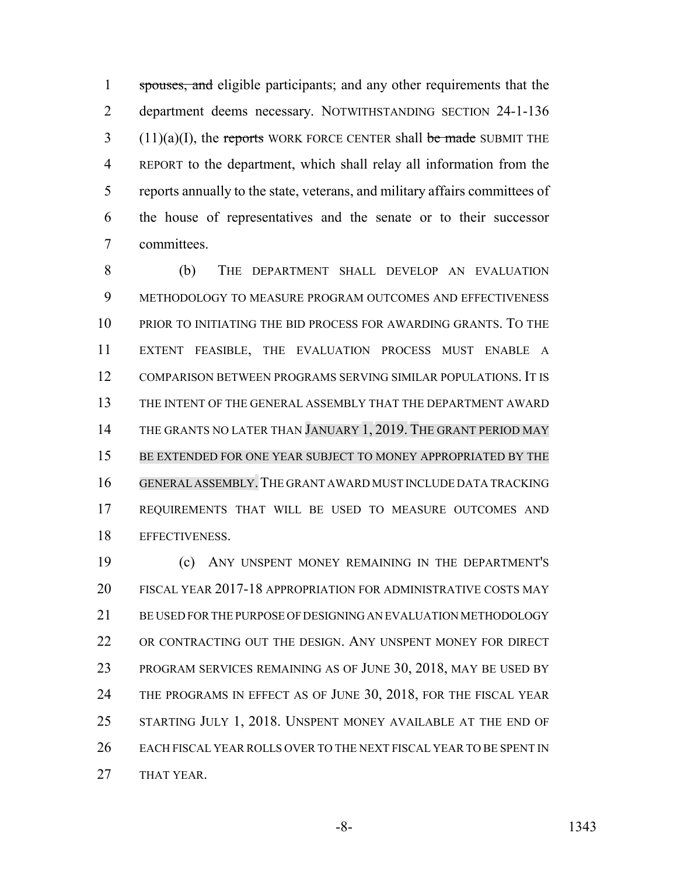1 spouses, and eligible participants; and any other requirements that the department deems necessary. NOTWITHSTANDING SECTION 24-1-136 (11)(a)(I), the reports WORK FORCE CENTER shall be made SUBMIT THE REPORT to the department, which shall relay all information from the reports annually to the state, veterans, and military affairs committees of the house of representatives and the senate or to their successor committees.

 (b) THE DEPARTMENT SHALL DEVELOP AN EVALUATION METHODOLOGY TO MEASURE PROGRAM OUTCOMES AND EFFECTIVENESS PRIOR TO INITIATING THE BID PROCESS FOR AWARDING GRANTS. TO THE EXTENT FEASIBLE, THE EVALUATION PROCESS MUST ENABLE A COMPARISON BETWEEN PROGRAMS SERVING SIMILAR POPULATIONS. IT IS THE INTENT OF THE GENERAL ASSEMBLY THAT THE DEPARTMENT AWARD 14 THE GRANTS NO LATER THAN JANUARY 1, 2019. THE GRANT PERIOD MAY BE EXTENDED FOR ONE YEAR SUBJECT TO MONEY APPROPRIATED BY THE GENERALASSEMBLY.THE GRANT AWARD MUST INCLUDE DATA TRACKING REQUIREMENTS THAT WILL BE USED TO MEASURE OUTCOMES AND EFFECTIVENESS.

 (c) ANY UNSPENT MONEY REMAINING IN THE DEPARTMENT'S FISCAL YEAR 2017-18 APPROPRIATION FOR ADMINISTRATIVE COSTS MAY BE USED FOR THE PURPOSE OF DESIGNING AN EVALUATION METHODOLOGY 22 OR CONTRACTING OUT THE DESIGN. ANY UNSPENT MONEY FOR DIRECT PROGRAM SERVICES REMAINING AS OF JUNE 30, 2018, MAY BE USED BY 24 THE PROGRAMS IN EFFECT AS OF JUNE 30, 2018, FOR THE FISCAL YEAR STARTING JULY 1, 2018. UNSPENT MONEY AVAILABLE AT THE END OF EACH FISCAL YEAR ROLLS OVER TO THE NEXT FISCAL YEAR TO BE SPENT IN THAT YEAR.

-8- 1343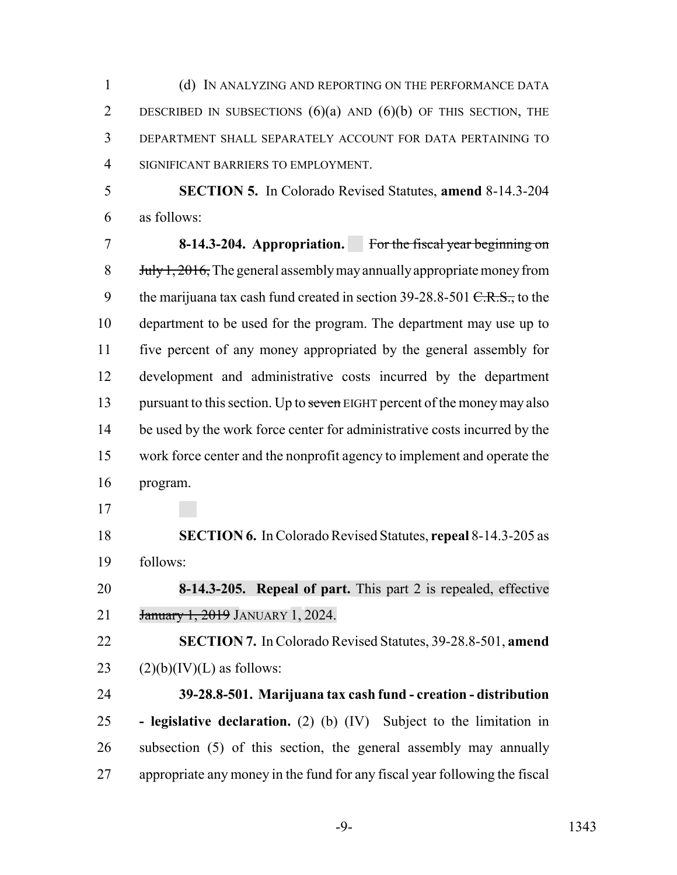(d) IN ANALYZING AND REPORTING ON THE PERFORMANCE DATA 2 DESCRIBED IN SUBSECTIONS  $(6)(a)$  AND  $(6)(b)$  OF THIS SECTION, THE DEPARTMENT SHALL SEPARATELY ACCOUNT FOR DATA PERTAINING TO SIGNIFICANT BARRIERS TO EMPLOYMENT.

 **SECTION 5.** In Colorado Revised Statutes, **amend** 8-14.3-204 as follows:

 **8-14.3-204. Appropriation.** For the fiscal year beginning on 8 Huly 1, 2016, The general assembly may annually appropriate money from 9 the marijuana tax cash fund created in section  $39-28.8-501 \text{ C.R.S.}$ , to the department to be used for the program. The department may use up to five percent of any money appropriated by the general assembly for development and administrative costs incurred by the department 13 pursuant to this section. Up to seven EIGHT percent of the money may also 14 be used by the work force center for administrative costs incurred by the work force center and the nonprofit agency to implement and operate the program.

 **SECTION 6.** In Colorado Revised Statutes, **repeal** 8-14.3-205 as follows:

 **8-14.3-205. Repeal of part.** This part 2 is repealed, effective January 1, 2019 JANUARY 1, 2024.

 **SECTION 7.** In Colorado Revised Statutes, 39-28.8-501, **amend** 23  $(2)(b)(IV)(L)$  as follows:

 **39-28.8-501. Marijuana tax cash fund - creation - distribution - legislative declaration.** (2) (b) (IV) Subject to the limitation in subsection (5) of this section, the general assembly may annually appropriate any money in the fund for any fiscal year following the fiscal